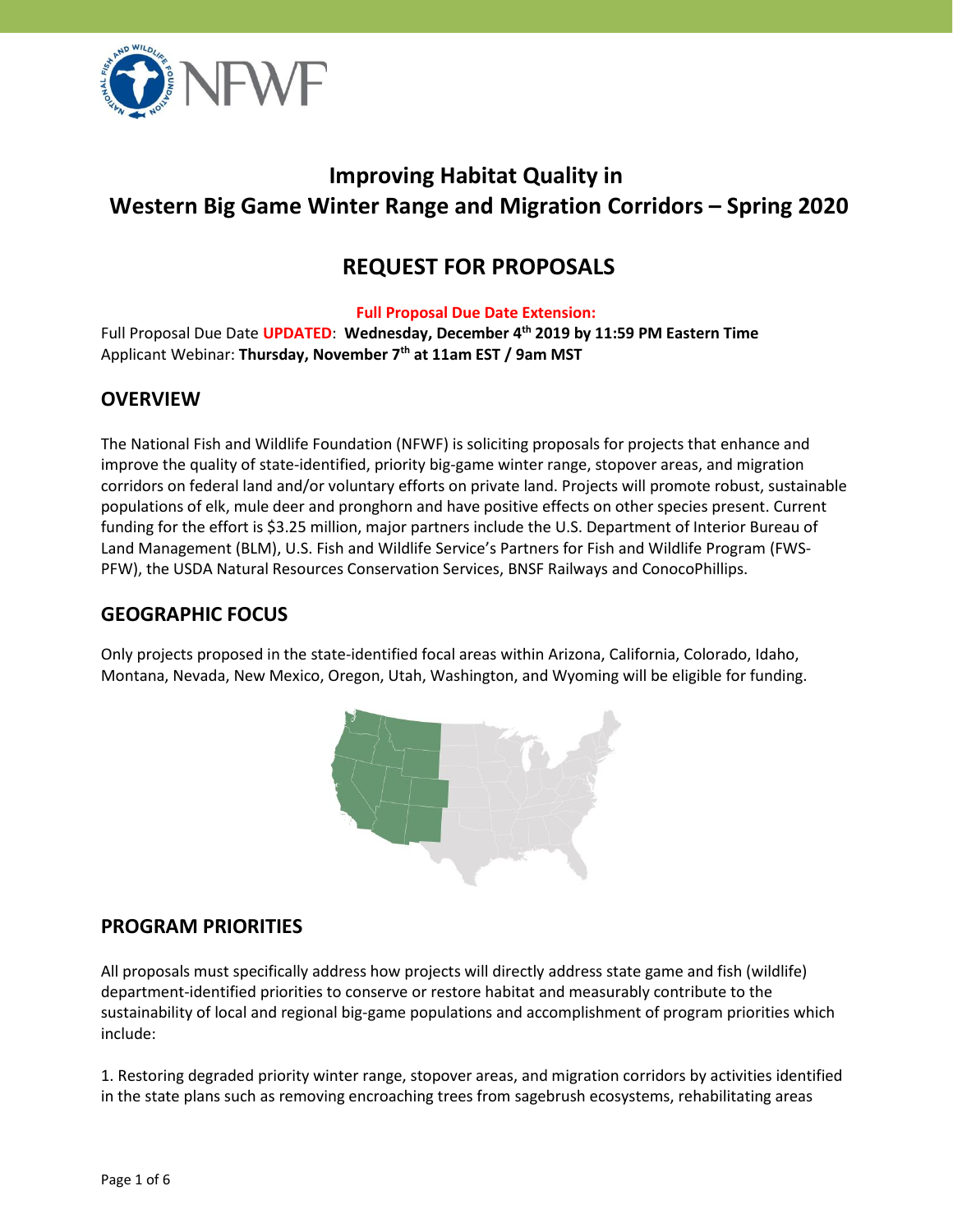

# **Improving Habitat Quality in Western Big Game Winter Range and Migration Corridors – Spring 2020**

# **REQUEST FOR PROPOSALS**

#### **Full Proposal Due Date Extension:**

Full Proposal Due Date **UPDATED**: **Wednesday, December 4 th 2019 by 11:59 PM Eastern Time** Applicant Webinar: **Thursday, November 7th at 11am EST / 9am MST**

### **OVERVIEW**

The National Fish and Wildlife Foundation (NFWF) is soliciting proposals for projects that enhance and improve the quality of state-identified, priority big-game winter range, stopover areas, and migration corridors on federal land and/or voluntary efforts on private land. Projects will promote robust, sustainable populations of elk, mule deer and pronghorn and have positive effects on other species present. Current funding for the effort is \$3.25 million, major partners include the U.S. Department of Interior Bureau of Land Management (BLM), U.S. Fish and Wildlife Service's Partners for Fish and Wildlife Program (FWS-PFW), the USDA Natural Resources Conservation Services, BNSF Railways and ConocoPhillips.

## **GEOGRAPHIC FOCUS**

Only projects proposed in the state-identified focal areas within Arizona, California, Colorado, Idaho, Montana, Nevada, New Mexico, Oregon, Utah, Washington, and Wyoming will be eligible for funding.



### **PROGRAM PRIORITIES**

All proposals must specifically address how projects will directly address state game and fish (wildlife) department-identified priorities to conserve or restore habitat and measurably contribute to the sustainability of local and regional big-game populations and accomplishment of program priorities which include:

1. Restoring degraded priority winter range, stopover areas, and migration corridors by activities identified in the state plans such as removing encroaching trees from sagebrush ecosystems, rehabilitating areas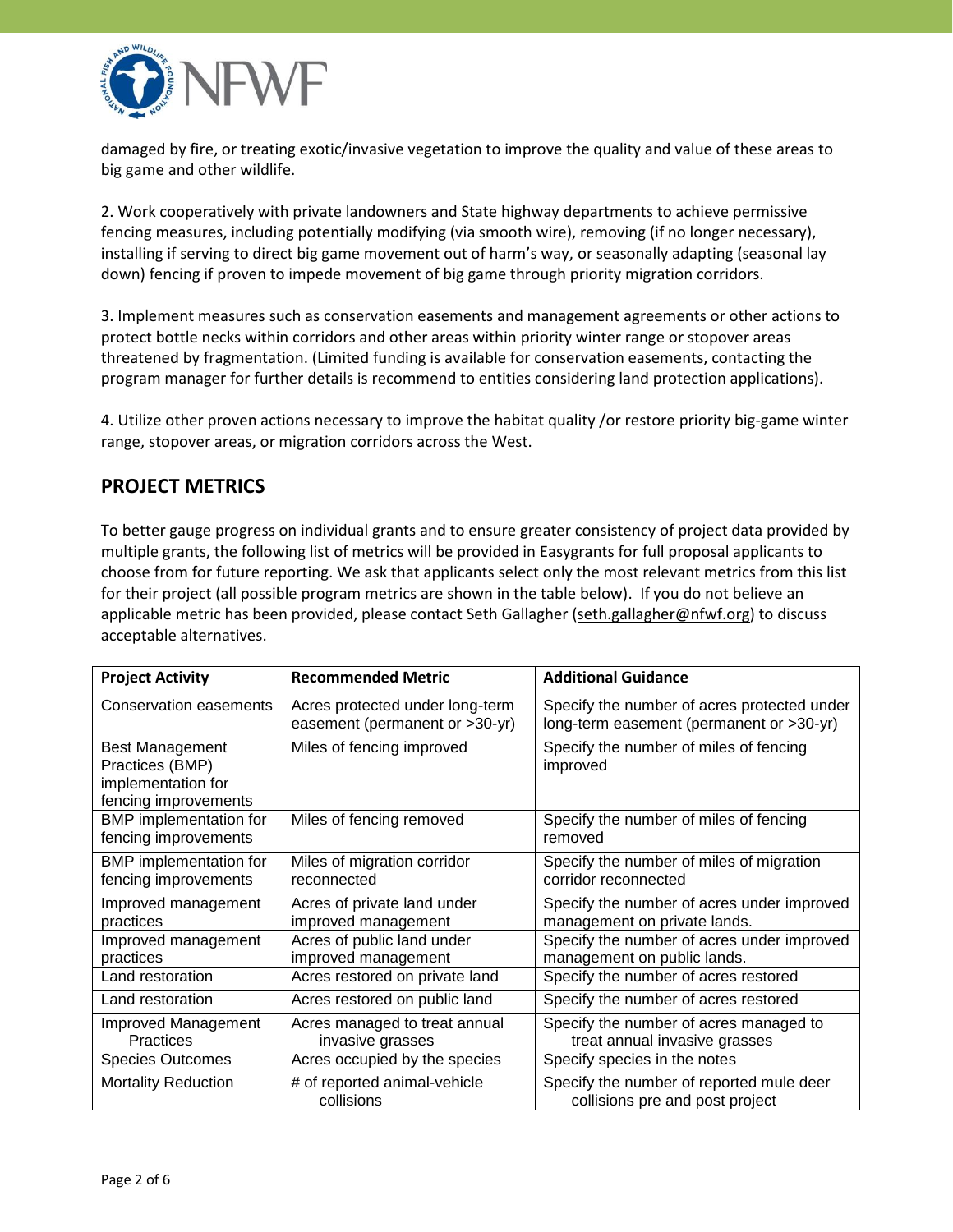

damaged by fire, or treating exotic/invasive vegetation to improve the quality and value of these areas to big game and other wildlife.

2. Work cooperatively with private landowners and State highway departments to achieve permissive fencing measures, including potentially modifying (via smooth wire), removing (if no longer necessary), installing if serving to direct big game movement out of harm's way, or seasonally adapting (seasonal lay down) fencing if proven to impede movement of big game through priority migration corridors.

3. Implement measures such as conservation easements and management agreements or other actions to protect bottle necks within corridors and other areas within priority winter range or stopover areas threatened by fragmentation. (Limited funding is available for conservation easements, contacting the program manager for further details is recommend to entities considering land protection applications).

4. Utilize other proven actions necessary to improve the habitat quality /or restore priority big-game winter range, stopover areas, or migration corridors across the West.

### **PROJECT METRICS**

To better gauge progress on individual grants and to ensure greater consistency of project data provided by multiple grants, the following list of metrics will be provided in Easygrants for full proposal applicants to choose from for future reporting. We ask that applicants select only the most relevant metrics from this list for their project (all possible program metrics are shown in the table below). If you do not believe an applicable metric has been provided, please contact Seth Gallagher [\(seth.gallagher@nfwf.org\)](mailto:seth.gallagher@nfwf.org) to discuss acceptable alternatives.

| <b>Project Activity</b>                                                                 | <b>Recommended Metric</b>                                         | <b>Additional Guidance</b>                                                              |
|-----------------------------------------------------------------------------------------|-------------------------------------------------------------------|-----------------------------------------------------------------------------------------|
| Conservation easements                                                                  | Acres protected under long-term<br>easement (permanent or >30-yr) | Specify the number of acres protected under<br>long-term easement (permanent or >30-yr) |
| <b>Best Management</b><br>Practices (BMP)<br>implementation for<br>fencing improvements | Miles of fencing improved                                         | Specify the number of miles of fencing<br>improved                                      |
| BMP implementation for<br>fencing improvements                                          | Miles of fencing removed                                          | Specify the number of miles of fencing<br>removed                                       |
| BMP implementation for<br>fencing improvements                                          | Miles of migration corridor<br>reconnected                        | Specify the number of miles of migration<br>corridor reconnected                        |
| Improved management<br>practices                                                        | Acres of private land under<br>improved management                | Specify the number of acres under improved<br>management on private lands.              |
| Improved management<br>practices                                                        | Acres of public land under<br>improved management                 | Specify the number of acres under improved<br>management on public lands.               |
| Land restoration                                                                        | Acres restored on private land                                    | Specify the number of acres restored                                                    |
| Land restoration                                                                        | Acres restored on public land                                     | Specify the number of acres restored                                                    |
| Improved Management<br><b>Practices</b>                                                 | Acres managed to treat annual<br>invasive grasses                 | Specify the number of acres managed to<br>treat annual invasive grasses                 |
| <b>Species Outcomes</b>                                                                 | Acres occupied by the species                                     | Specify species in the notes                                                            |
| <b>Mortality Reduction</b>                                                              | # of reported animal-vehicle<br>collisions                        | Specify the number of reported mule deer<br>collisions pre and post project             |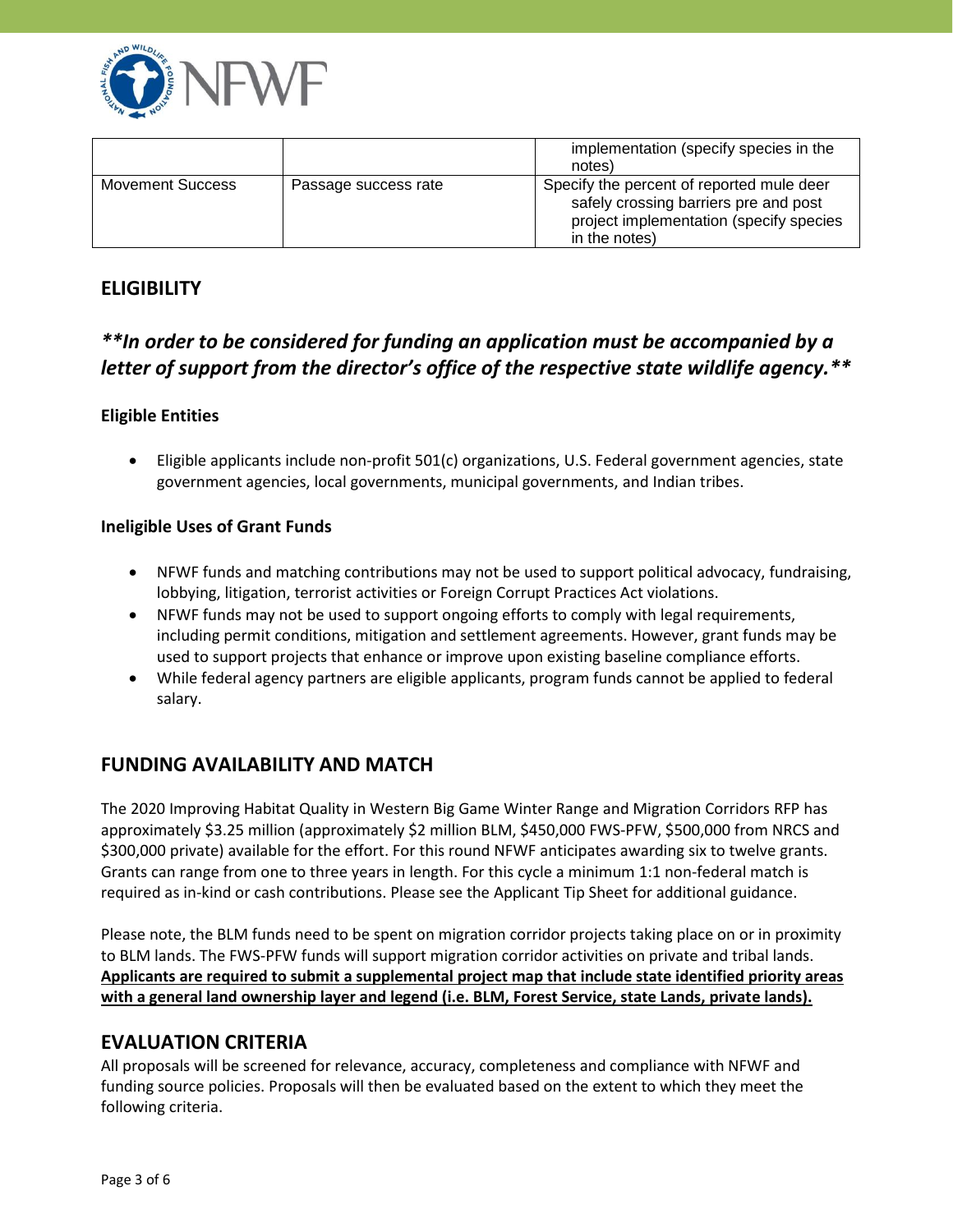

|                         |                      | implementation (specify species in the<br>notes)                                                                                               |
|-------------------------|----------------------|------------------------------------------------------------------------------------------------------------------------------------------------|
| <b>Movement Success</b> | Passage success rate | Specify the percent of reported mule deer<br>safely crossing barriers pre and post<br>project implementation (specify species<br>in the notes) |

# **ELIGIBILITY**

# *\*\*In order to be considered for funding an application must be accompanied by a letter of support from the director's office of the respective state wildlife agency.\*\**

#### **Eligible Entities**

 Eligible applicants include non-profit 501(c) organizations, U.S. Federal government agencies, state government agencies, local governments, municipal governments, and Indian tribes.

#### **Ineligible Uses of Grant Funds**

- NFWF funds and matching contributions may not be used to support political advocacy, fundraising, lobbying, litigation, terrorist activities or Foreign Corrupt Practices Act violations.
- NFWF funds may not be used to support ongoing efforts to comply with legal requirements, including permit conditions, mitigation and settlement agreements. However, grant funds may be used to support projects that enhance or improve upon existing baseline compliance efforts.
- While federal agency partners are eligible applicants, program funds cannot be applied to federal salary.

# **FUNDING AVAILABILITY AND MATCH**

The 2020 Improving Habitat Quality in Western Big Game Winter Range and Migration Corridors RFP has approximately \$3.25 million (approximately \$2 million BLM, \$450,000 FWS-PFW, \$500,000 from NRCS and \$300,000 private) available for the effort. For this round NFWF anticipates awarding six to twelve grants. Grants can range from one to three years in length. For this cycle a minimum 1:1 non-federal match is required as in-kind or cash contributions. Please see the Applicant Tip Sheet for additional guidance.

Please note, the BLM funds need to be spent on migration corridor projects taking place on or in proximity to BLM lands. The FWS-PFW funds will support migration corridor activities on private and tribal lands. **Applicants are required to submit a supplemental project map that include state identified priority areas with a general land ownership layer and legend (i.e. BLM, Forest Service, state Lands, private lands).**

### **EVALUATION CRITERIA**

All proposals will be screened for relevance, accuracy, completeness and compliance with NFWF and funding source policies. Proposals will then be evaluated based on the extent to which they meet the following criteria.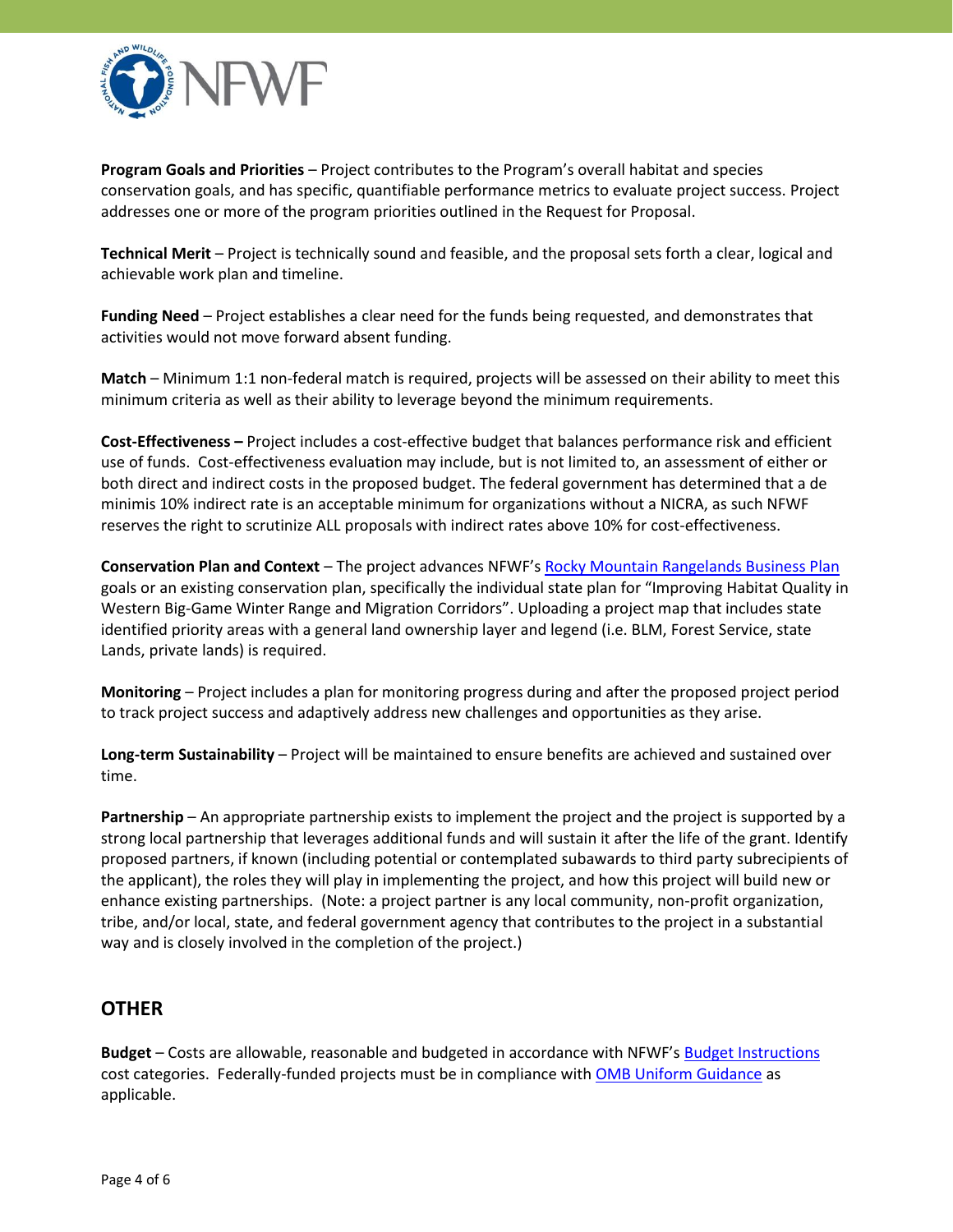

**Program Goals and Priorities** – Project contributes to the Program's overall habitat and species conservation goals, and has specific, quantifiable performance metrics to evaluate project success. Project addresses one or more of the program priorities outlined in the Request for Proposal.

**Technical Merit** – Project is technically sound and feasible, and the proposal sets forth a clear, logical and achievable work plan and timeline.

**Funding Need** – Project establishes a clear need for the funds being requested, and demonstrates that activities would not move forward absent funding.

**Match** – Minimum 1:1 non-federal match is required, projects will be assessed on their ability to meet this minimum criteria as well as their ability to leverage beyond the minimum requirements.

**Cost-Effectiveness –** Project includes a cost-effective budget that balances performance risk and efficient use of funds. Cost-effectiveness evaluation may include, but is not limited to, an assessment of either or both direct and indirect costs in the proposed budget. The federal government has determined that a de minimis 10% indirect rate is an acceptable minimum for organizations without a NICRA, as such NFWF reserves the right to scrutinize ALL proposals with indirect rates above 10% for cost-effectiveness.

**Conservation Plan and Context** – The project advances NFWF's [Rocky Mountain Rangelands Business Plan](https://www.nfwf.org/rockymountains/Documents/rocky-mountain-business-plan.pdf) goals or an existing conservation plan, specifically the individual state plan for "Improving Habitat Quality in Western Big-Game Winter Range and Migration Corridors". Uploading a project map that includes state identified priority areas with a general land ownership layer and legend (i.e. BLM, Forest Service, state Lands, private lands) is required.

**Monitoring** – Project includes a plan for monitoring progress during and after the proposed project period to track project success and adaptively address new challenges and opportunities as they arise.

**Long-term Sustainability** – Project will be maintained to ensure benefits are achieved and sustained over time.

**Partnership** – An appropriate partnership exists to implement the project and the project is supported by a strong local partnership that leverages additional funds and will sustain it after the life of the grant. Identify proposed partners, if known (including potential or contemplated subawards to third party subrecipients of the applicant), the roles they will play in implementing the project, and how this project will build new or enhance existing partnerships. (Note: a project partner is any local community, non-profit organization, tribe, and/or local, state, and federal government agency that contributes to the project in a substantial way and is closely involved in the completion of the project.)

# **OTHER**

**Budget** – Costs are allowable, reasonable and budgeted in accordance with NFWF's [Budget Instructions](http://www.nfwf.org/whatwedo/grants/applicants/Pages/budget-instructions.aspx) cost categories. Federally-funded projects must be in compliance wit[h OMB Uniform Guidance](http://www.ecfr.gov/cgi-bin/text-idx?SID=704835d27377ef5213a51c149de40cab&node=2:1.1.2.2.1&rgn=div5) as applicable.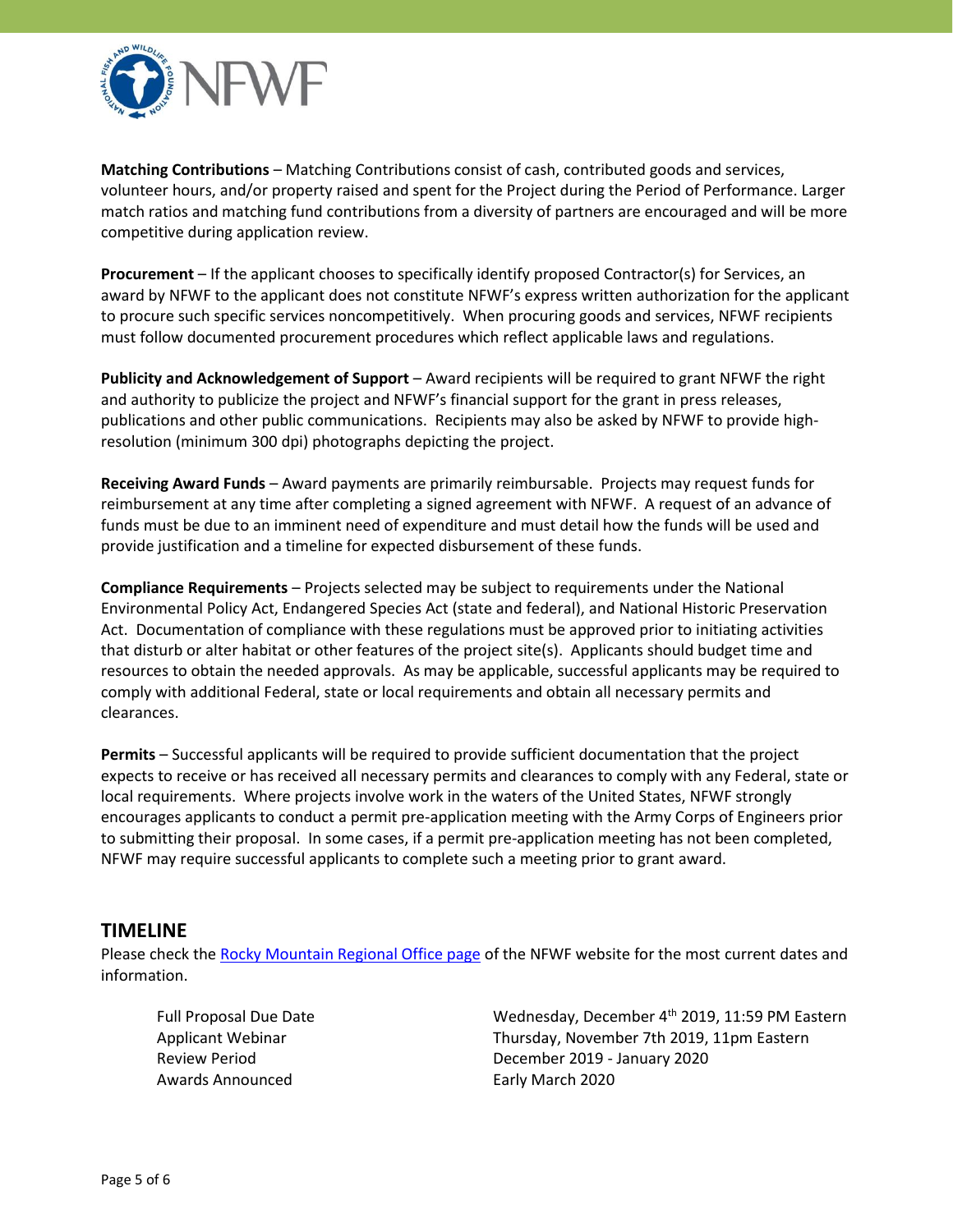

**Matching Contributions** – Matching Contributions consist of cash, contributed goods and services, volunteer hours, and/or property raised and spent for the Project during the Period of Performance. Larger match ratios and matching fund contributions from a diversity of partners are encouraged and will be more competitive during application review.

**Procurement** – If the applicant chooses to specifically identify proposed Contractor(s) for Services, an award by NFWF to the applicant does not constitute NFWF's express written authorization for the applicant to procure such specific services noncompetitively. When procuring goods and services, NFWF recipients must follow documented procurement procedures which reflect applicable laws and regulations.

**Publicity and Acknowledgement of Support** – Award recipients will be required to grant NFWF the right and authority to publicize the project and NFWF's financial support for the grant in press releases, publications and other public communications. Recipients may also be asked by NFWF to provide highresolution (minimum 300 dpi) photographs depicting the project.

**Receiving Award Funds** – Award payments are primarily reimbursable. Projects may request funds for reimbursement at any time after completing a signed agreement with NFWF. A request of an advance of funds must be due to an imminent need of expenditure and must detail how the funds will be used and provide justification and a timeline for expected disbursement of these funds.

**Compliance Requirements** – Projects selected may be subject to requirements under the National Environmental Policy Act, Endangered Species Act (state and federal), and National Historic Preservation Act. Documentation of compliance with these regulations must be approved prior to initiating activities that disturb or alter habitat or other features of the project site(s). Applicants should budget time and resources to obtain the needed approvals. As may be applicable, successful applicants may be required to comply with additional Federal, state or local requirements and obtain all necessary permits and clearances.

**Permits** – Successful applicants will be required to provide sufficient documentation that the project expects to receive or has received all necessary permits and clearances to comply with any Federal, state or local requirements. Where projects involve work in the waters of the United States, NFWF strongly encourages applicants to conduct a permit pre-application meeting with the Army Corps of Engineers prior to submitting their proposal. In some cases, if a permit pre-application meeting has not been completed, NFWF may require successful applicants to complete such a meeting prior to grant award.

#### **TIMELINE**

Please check the [Rocky Mountain Regional Office page](https://www.nfwf.org/whoweare/offices/Pages/rmro.aspx) of the NFWF website for the most current dates and information.

Awards Announced **Early March 2020** 

Full Proposal Due Date **Matema and Struth Auden** Wednesday, December 4<sup>th</sup> 2019, 11:59 PM Eastern Applicant Webinar Thursday, November 7th 2019, 11pm Eastern Review Period December 2019 - January 2020